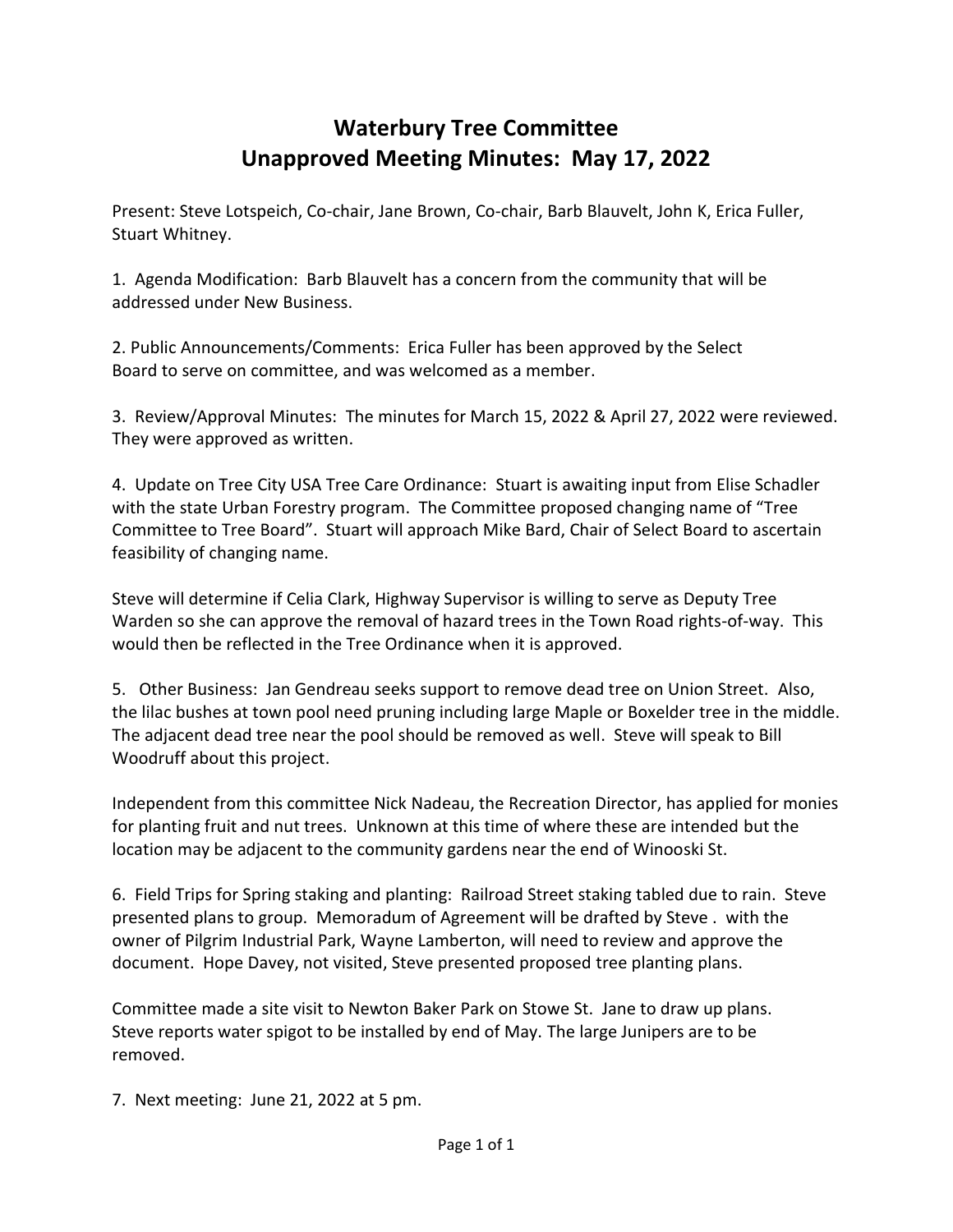## **Waterbury Tree Committee Unapproved Meeting Minutes: May 17, 2022**

Present: Steve Lotspeich, Co-chair, Jane Brown, Co-chair, Barb Blauvelt, John K, Erica Fuller, Stuart Whitney.

1. Agenda Modification: Barb Blauvelt has a concern from the community that will be addressed under New Business.

2. Public Announcements/Comments: Erica Fuller has been approved by the Select Board to serve on committee, and was welcomed as a member.

3. Review/Approval Minutes: The minutes for March 15, 2022 & April 27, 2022 were reviewed. They were approved as written.

4. Update on Tree City USA Tree Care Ordinance: Stuart is awaiting input from Elise Schadler with the state Urban Forestry program. The Committee proposed changing name of "Tree Committee to Tree Board". Stuart will approach Mike Bard, Chair of Select Board to ascertain feasibility of changing name.

Steve will determine if Celia Clark, Highway Supervisor is willing to serve as Deputy Tree Warden so she can approve the removal of hazard trees in the Town Road rights-of-way. This would then be reflected in the Tree Ordinance when it is approved.

5. Other Business: Jan Gendreau seeks support to remove dead tree on Union Street. Also, the lilac bushes at town pool need pruning including large Maple or Boxelder tree in the middle. The adjacent dead tree near the pool should be removed as well. Steve will speak to Bill Woodruff about this project.

Independent from this committee Nick Nadeau, the Recreation Director, has applied for monies for planting fruit and nut trees. Unknown at this time of where these are intended but the location may be adjacent to the community gardens near the end of Winooski St.

6. Field Trips for Spring staking and planting: Railroad Street staking tabled due to rain. Steve presented plans to group. Memoradum of Agreement will be drafted by Steve . with the owner of Pilgrim Industrial Park, Wayne Lamberton, will need to review and approve the document. Hope Davey, not visited, Steve presented proposed tree planting plans.

Committee made a site visit to Newton Baker Park on Stowe St. Jane to draw up plans. Steve reports water spigot to be installed by end of May. The large Junipers are to be removed.

7. Next meeting: June 21, 2022 at 5 pm.